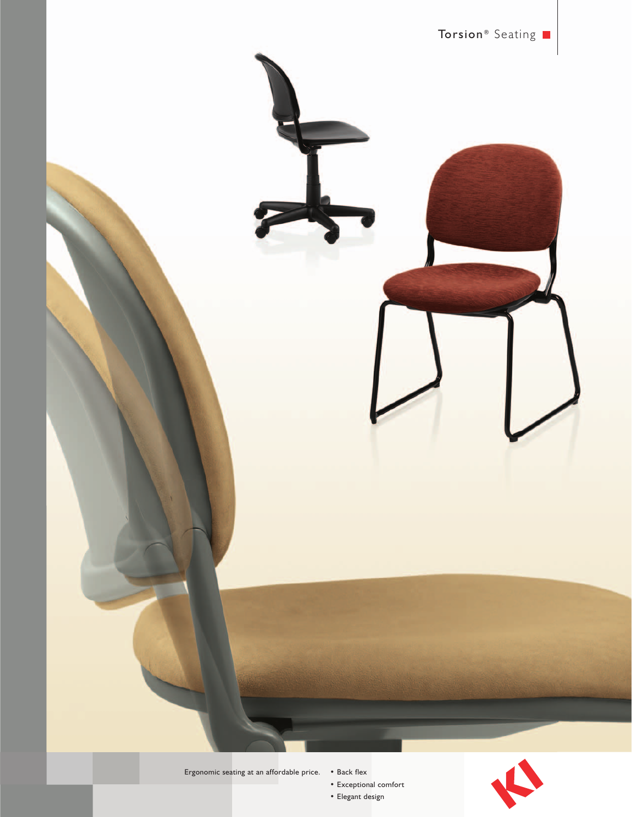

Ergonomic seating at an affordable price. • Back flex

• Exceptional comfort • Elegant design

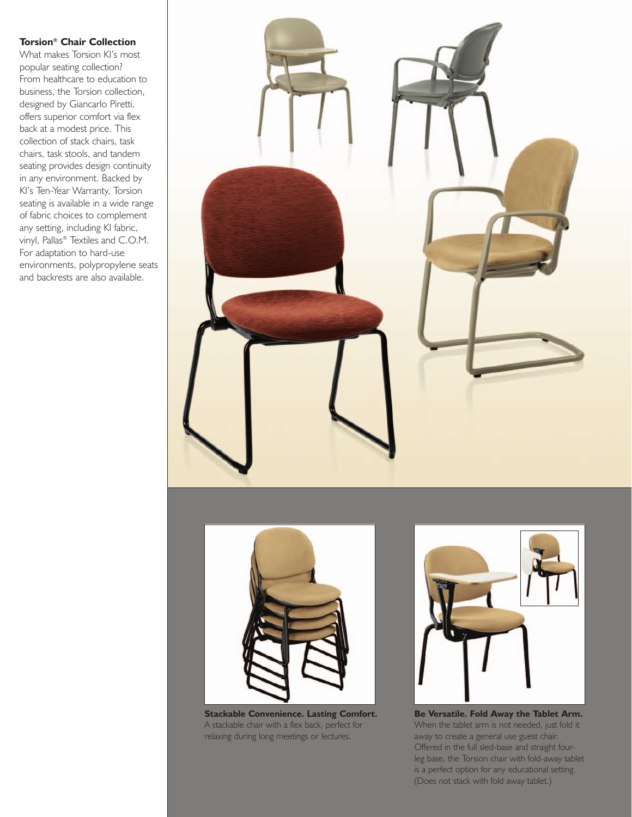## **Torsion® Chair Collection**

What makes Torsion KI's most popular seating collection? From healthcare to education to business, the Torsion collection, designed by Giancarlo Piretti, offers superior comfort via flex back at a modest price. This collection of stack chairs, task chairs, task stools, and tandem seating provides design continuity in any environment. Backed by KI's Ten-Year Warranty, Torsion seating is available in a wide range of fabric choices to complement any setting, including KI fabric, vinyl, Pallas® Textiles and C.O.M. For adaptation to hard-use environments, polypropylene seats and backrests are also available.





**Stackable Convenience. Lasting Comfort.** A stackable chair with a flex back, perfect for relaxing during long meetings or lectures.



**Be Versatile. Fold Away the Tablet Arm.**  When the tablet arm is not needed, just fold it away to create a general use guest chair. Offered in the full sled-base and straight fourleg base, the Torsion chair with fold-away tablet is a perfect option for any educational setting. (Does not stack with fold away tablet.)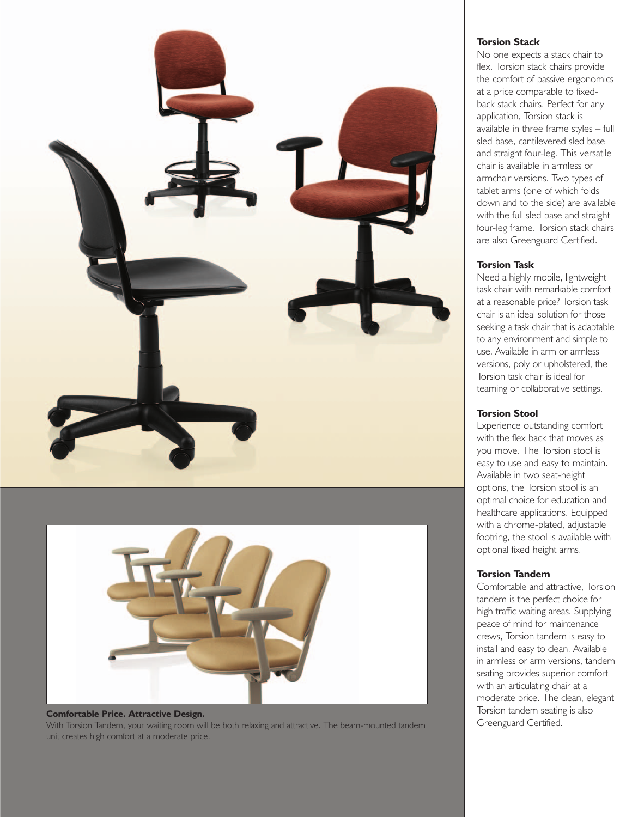

# Greenguard Certified. **Comfortable Price. Attractive Design.**  With Torsion Tandem, your waiting room will be both relaxing and attractive. The beam-mounted tandem unit creates high comfort at a moderate price.

#### **Torsion Stack**

No one expects a stack chair to flex. Torsion stack chairs provide the comfort of passive ergonomics at a price comparable to fixedback stack chairs. Perfect for any application, Torsion stack is available in three frame styles – full sled base, cantilevered sled base and straight four-leg. This versatile chair is available in armless or armchair versions. Two types of tablet arms (one of which folds down and to the side) are available with the full sled base and straight four-leg frame. Torsion stack chairs are also Greenguard Certified.

#### **Torsion Task**

Need a highly mobile, lightweight task chair with remarkable comfort at a reasonable price? Torsion task chair is an ideal solution for those seeking a task chair that is adaptable to any environment and simple to use. Available in arm or armless versions, poly or upholstered, the Torsion task chair is ideal for teaming or collaborative settings.

#### **Torsion Stool**

Experience outstanding comfort with the flex back that moves as you move. The Torsion stool is easy to use and easy to maintain. Available in two seat-height options, the Torsion stool is an optimal choice for education and healthcare applications. Equipped with a chrome-plated, adjustable footring, the stool is available with optional fixed height arms.

### **Torsion Tandem**

Comfortable and attractive, Torsion tandem is the perfect choice for high traffic waiting areas. Supplying peace of mind for maintenance crews, Torsion tandem is easy to install and easy to clean. Available in armless or arm versions, tandem seating provides superior comfort with an articulating chair at a moderate price. The clean, elegant Torsion tandem seating is also